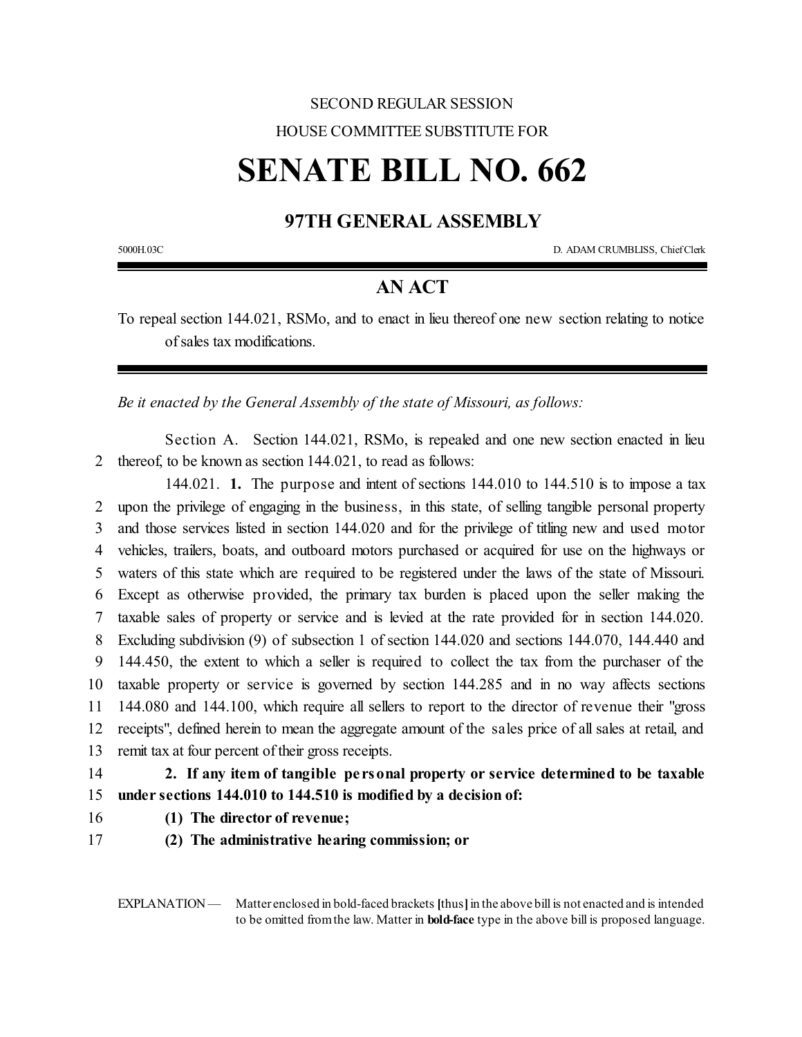## SECOND REGULAR SESSION HOUSE COMMITTEE SUBSTITUTE FOR

# **SENATE BILL NO. 662**

### **97TH GENERAL ASSEMBLY**

5000H.03C D. ADAM CRUMBLISS, ChiefClerk

#### **AN ACT**

To repeal section 144.021, RSMo, and to enact in lieu thereof one new section relating to notice of sales tax modifications.

*Be it enacted by the General Assembly of the state of Missouri, as follows:*

Section A. Section 144.021, RSMo, is repealed and one new section enacted in lieu 2 thereof, to be known as section 144.021, to read as follows:

144.021. **1.** The purpose and intent of sections 144.010 to 144.510 is to impose a tax upon the privilege of engaging in the business, in this state, of selling tangible personal property and those services listed in section 144.020 and for the privilege of titling new and used motor vehicles, trailers, boats, and outboard motors purchased or acquired for use on the highways or waters of this state which are required to be registered under the laws of the state of Missouri. Except as otherwise provided, the primary tax burden is placed upon the seller making the taxable sales of property or service and is levied at the rate provided for in section 144.020. Excluding subdivision (9) of subsection 1 of section 144.020 and sections 144.070, 144.440 and 144.450, the extent to which a seller is required to collect the tax from the purchaser of the taxable property or service is governed by section 144.285 and in no way affects sections 144.080 and 144.100, which require all sellers to report to the director of revenue their "gross receipts", defined herein to mean the aggregate amount of the sales price of all sales at retail, and remit tax at four percent oftheir gross receipts.

- 14 **2. If any item of tangible pe rsonal property or service determined to be taxable**
- 15 **under sections 144.010 to 144.510 is modified by a decision of:**
- 16 **(1) The director of revenue;**
- 17 **(2) The administrative hearing commission; or**

EXPLANATION — Matter enclosed in bold-faced brackets [thus] in the above bill is not enacted and is intended to be omitted fromthe law. Matter in **bold-face** type in the above bill is proposed language.